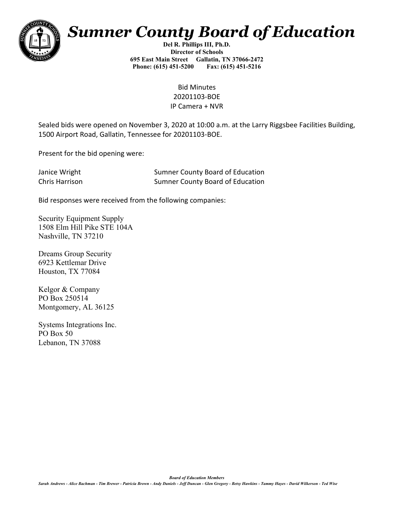

## *Sumner County Board of Education*

**Del R. Phillips III, Ph.D. Director of Schools 695 East Main Street Gallatin, TN 37066-2472 Phone: (615) 451-5200 Fax: (615) 451-5216** 

> Bid Minutes 20201103-BOE IP Camera + NVR

Sealed bids were opened on November 3, 2020 at 10:00 a.m. at the Larry Riggsbee Facilities Building, 1500 Airport Road, Gallatin, Tennessee for 20201103-BOE.

Present for the bid opening were:

| Janice Wright  | <b>Sumner County Board of Education</b> |
|----------------|-----------------------------------------|
| Chris Harrison | <b>Sumner County Board of Education</b> |

Bid responses were received from the following companies:

Security Equipment Supply 1508 Elm Hill Pike STE 104A Nashville, TN 37210

Dreams Group Security 6923 Kettlemar Drive Houston, TX 77084

Kelgor & Company PO Box 250514 Montgomery, AL 36125

Systems Integrations Inc. PO Box 50 Lebanon, TN 37088